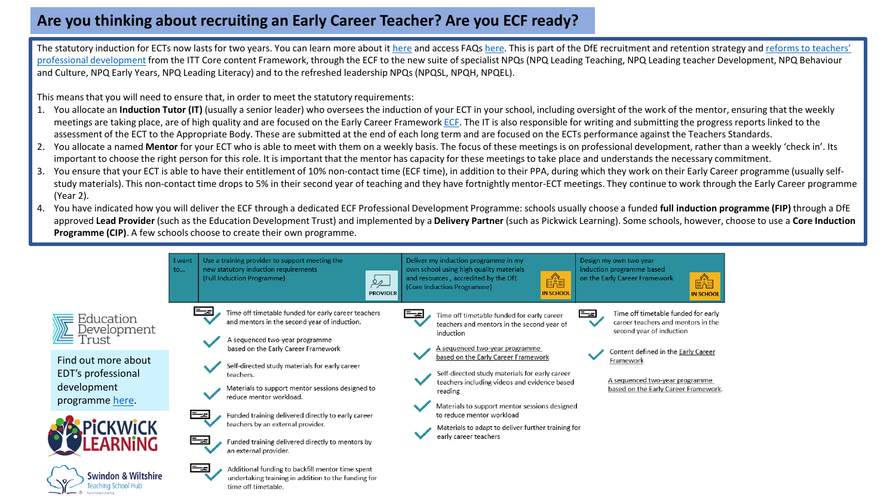## **Are you thinking about recruiting an Early Career Teacher? Are you ECF ready?**

The statutory induction for ECTs now lasts for two years. You can learn more about it [here](https://manage-training-for-early-career-teachers.education.gov.uk/pages/school-leader-additional-information) and access FAQs here. This is part of the DfE recruitment and retention strategy and reforms to teachers' professional development [from the ITT Core content Framework, through the ECF to the new suite of specialist NPQs \(NPQ Leading Teaching, NPQ Leading teacher Development, NPQ Behaviour](https://www.gov.uk/government/publications/reforms-to-teacher-development)  and Culture, NPQ Early Years, NPQ Leading Literacy) and to the refreshed leadership NPQs (NPQSL, NPQH, NPQEL).

This means that you will need to ensure that, in order to meet the statutory requirements:

- 1. You allocate an **Induction Tutor (IT)** (usually a senior leader) who oversees the induction of your ECT in your school, including oversight of the work of the mentor, ensuring that the weekly meetings are taking place, are of high quality and are focused on the Early Career Framework [ECF](https://www.gov.uk/government/publications/early-career-framework). The IT is also responsible for writing and submitting the progress reports linked to the assessment of the ECT to the Appropriate Body. These are submitted at the end of each long term and are focused on the ECTs performance against the Teachers Standards.
- 2. You allocate a named **Mentor** for your ECT who is able to meet with them on a weekly basis. The focus of these meetings is on professional development, rather than a weekly 'check in'. Its important to choose the right person for this role. It is important that the mentor has capacity for these meetings to take place and understands the necessary commitment.
- 3. You ensure that your ECT is able to have their entitlement of 10% non-contact time (ECF time), in addition to their PPA, during which they work on their Early Career programme (usually selfstudy materials). This non-contact time drops to 5% in their second year of teaching and they have fortnightly mentor-ECT meetings. They continue to work through the Early Career programme (Year 2).
- 4. You have indicated how you will deliver the ECF through a dedicated ECF Professional Development Programme: schools usually choose a funded **full induction programme (FIP)** through a DfE approved **Lead Provider** (such as the Education Development Trust) and implemented by a **Delivery Partner** (such as Pickwick Learning). Some schools, however, choose to use a **Core Induction Programme (CIP)**. A few schools choose to create their own programme.

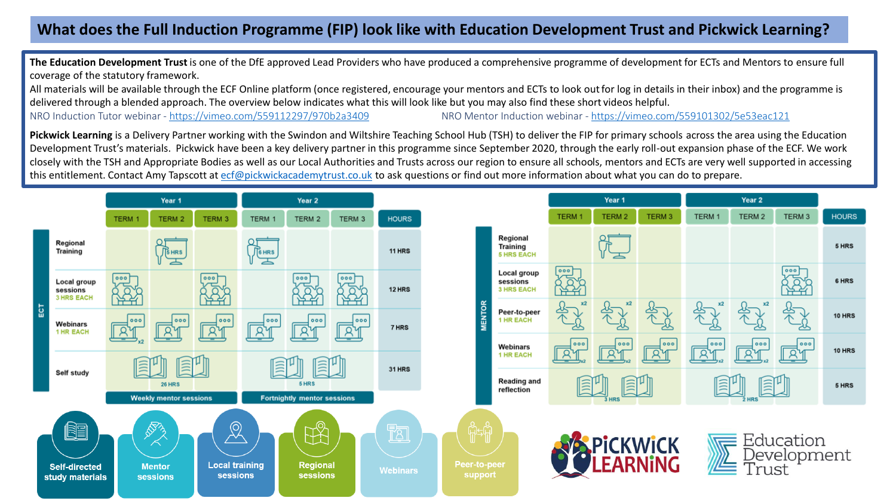## **What does the Full Induction Programme (FIP) look like with Education Development Trust and Pickwick Learning?**

**The Education Development Trust** is one of the DfE approved Lead Providers who have produced a comprehensive programme of development for ECTs and Mentors to ensure full coverage of the statutory framework.

All materials will be available through the ECF Online platform (once registered, encourage your mentors and ECTs to look outfor log in details in their inbox) and the programme is delivered through a blended approach. The overview below indicates what this will look like but you may also find these short videos helpful. NRO Induction Tutor webinar - <https://vimeo.com/559112297/970b2a3409> NRO Mentor Induction webinar - <https://vimeo.com/559101302/5e53eac121>

**Pickwick Learning** is a Delivery Partner working with the Swindon and Wiltshire Teaching School Hub (TSH) to deliver the FIP for primary schools across the area using the Education Development Trust's materials. Pickwick have been a key delivery partner in this programme since September 2020, through the early roll-out expansion phase of the ECF. We work closely with the TSH and Appropriate Bodies as well as our Local Authorities and Trusts across our region to ensure all schools, mentors and ECTs are very well supported in accessing this entitlement. Contact Amy Tapscott at [ecf@pickwickacademytrust.co.uk](mailto:ecf@pickwickacademytrust.co.uk) to ask questions or find out more information about what you can do to prepare.